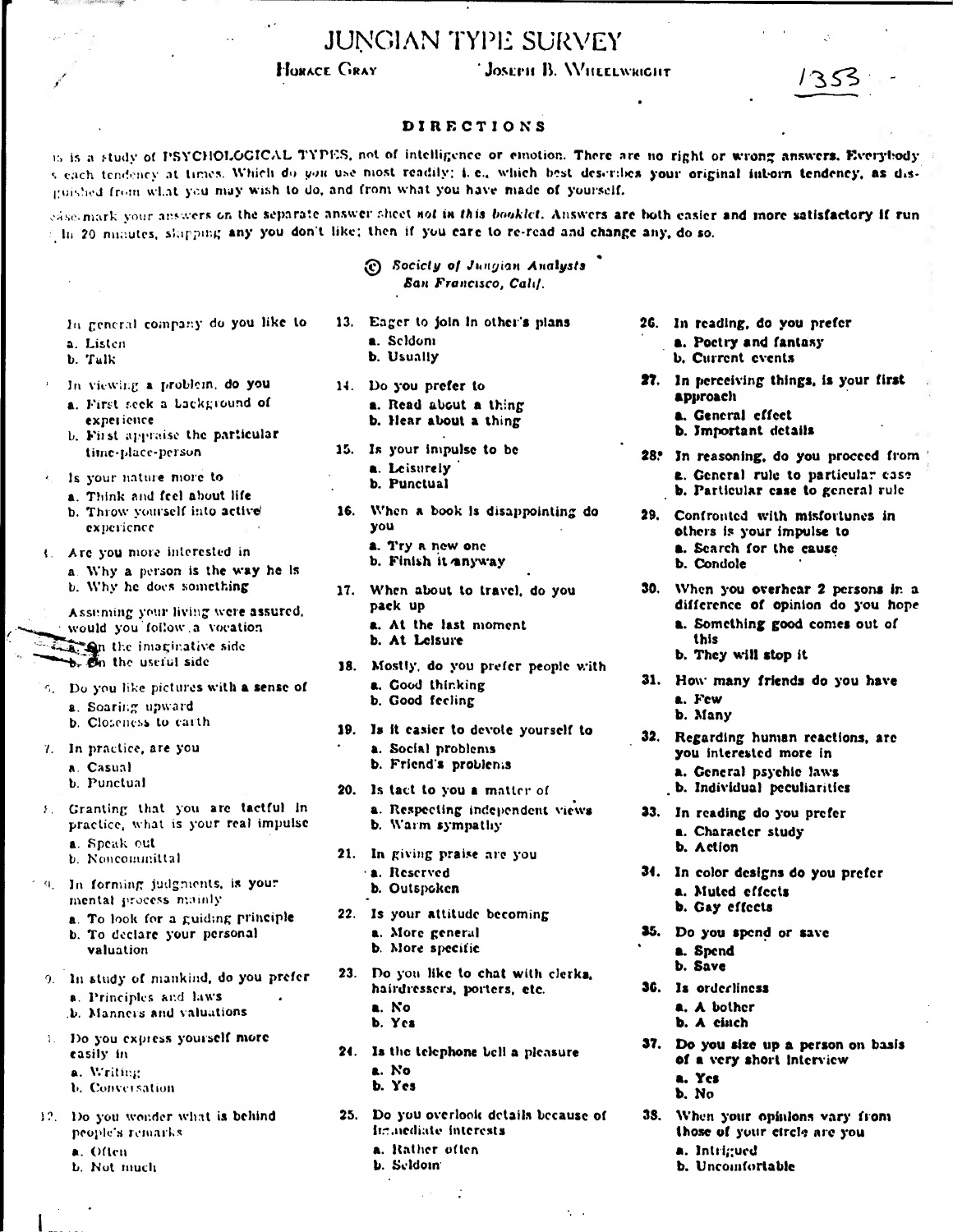## **JUNGIAN TYPE SURVEY**

## **HORACE GRAY**

## JOSEPH B. WHEELWRIGHT

## **DIRECTIONS**

15 is a study of PSYCHOLOGICAL TYPES, not of intelligence or emotion. There are no right or wrong answers. Everybody s each tendency at times. Which do you use most readily; i.e., which best describes your original inborn tendency, as disguished from what you may wish to do, and from what you have made of yourself.

case mark your answers on the separate answer sheet not in this booklet. Answers are both easier and more satisfactory if run In 20 minutes, shipping any you don't like; then if you care to re-read and change any, do so.

|                                                                                                                                  | (c) Society of Jungian Analysts<br>San Francisco, Calif.                                                               |                                                                                                                                             |
|----------------------------------------------------------------------------------------------------------------------------------|------------------------------------------------------------------------------------------------------------------------|---------------------------------------------------------------------------------------------------------------------------------------------|
| In general company do you like to<br>a. Listen<br>b. Talk                                                                        | 13. Eager to join in other's plans<br>a. Seldoni<br>b. Usually                                                         | 26. In reading, do you prefer<br>a. Poetry and fantasy<br><b>b.</b> Current events                                                          |
| In viewing a problem, do you<br>a. First seek a background of<br>experience<br>b. First appraise the particular                  | 14. Do you prefer to<br>a. Read about a thing<br>b. Hear about a thing                                                 | 27. In perceiving things, is your first<br>approach<br>a. General cffect<br><b>b.</b> Important details                                     |
| time-place-person<br>a. Is your nature more to<br>a. Think and feel about life                                                   | 15. Is your impulse to be<br>a. Leisurely<br>b. Punctual                                                               | 28. In reasoning, do you proceed from<br><b>a.</b> General rule to particular case<br>b. Particular case to general rule                    |
| b. Throw yourself into active<br>experience<br>( Are you more interested in<br>a. Why a person is the way he is                  | 16. When a book is disappointing do<br>you<br>a. Try a new one<br>b. Finish it anyway                                  | 29. Confronted with misfortunes in<br>others is your impulse to<br>a. Search for the cause<br>b. Condole                                    |
| b. Why he does something<br>Assuming your living were assured,<br>would you follow a vocation<br><b>Den</b> the imaginative side | 17. When about to travel, do you<br>pack up<br>a. At the last moment<br>b. At Leisure                                  | 30. When you overhear 2 persons in a<br>difference of opinion do you hope<br>a. Something good comes out of<br>this<br>b. They will stop it |
| b. On the useful side<br>5. Do you like pictures with a sense of<br>a. Soaring upward                                            | 18. Mostly, do you prefer people with<br>a. Good thinking<br>b. Good fecling                                           | 31. How many friends do you have<br>a. Few<br>b. Many                                                                                       |
| b. Closeness to earth.<br>7. In practice, are you<br>a. Casual<br><b>b.</b> Punctual                                             | 19. Is it casier to devote yourself to<br>a. Social problems<br>b. Friend's problems<br>20. Is tact to you a matter of | 32. Regarding human reactions, are<br>you interested more in<br>a. General psychic laws<br>b. Individual peculiarities                      |
| 8. Granting that you are tactful in<br>practice, what is your real impulse<br>a. Speak out                                       | a. Respecting independent views<br>b. Warm sympathy                                                                    | 33. In reading do you prefer<br>a. Character study<br>b. Action                                                                             |
| b. Noncommittal<br>9. In forming judgments, is your<br>mental process mainly                                                     | 21. In giving praise are you<br><b>a.</b> Reserved<br>b. Outspoken                                                     | 34. In color designs do you prefer<br>a. Muted effects<br>b. Gay effects                                                                    |
| a. To look for a guiding principle<br>b. To declare your personal<br>valuation                                                   | 22. Is your attitude becoming<br>a. More general<br>b. More specific                                                   | 35. Do you spend or save<br>a. Spend<br>h. Save                                                                                             |

- 23. Do you like to chat with clerka, 9. In study of mankind, do you prefer hairdressers, porters, etc. a. No
	- b. Yes
	- 24. Is the telephone bell a pleasure a. No
		- b. Yes
	- 25. Do you overlook details because of immediate interests
		- a. Rather often
		- **b.** Seldom

a. Often

casily in

a. Writing

**b.** Conversation

people's remarks.

a. Principles and laws

b. Manners and valuations

1. Do you express yourself more

12. Do you wonder what is behind

**b.** Not much

38. When your opinions vary from

 $\mathcal{L}^{\text{max}}$ 

a. Intrigued b. Uncomfortable

36. Is orderliness

a. Yes

b. No

37.

a. A bother

b. A cinch

Do you size up a person on basis

of a very short interview

those of your circle are you

- 
- -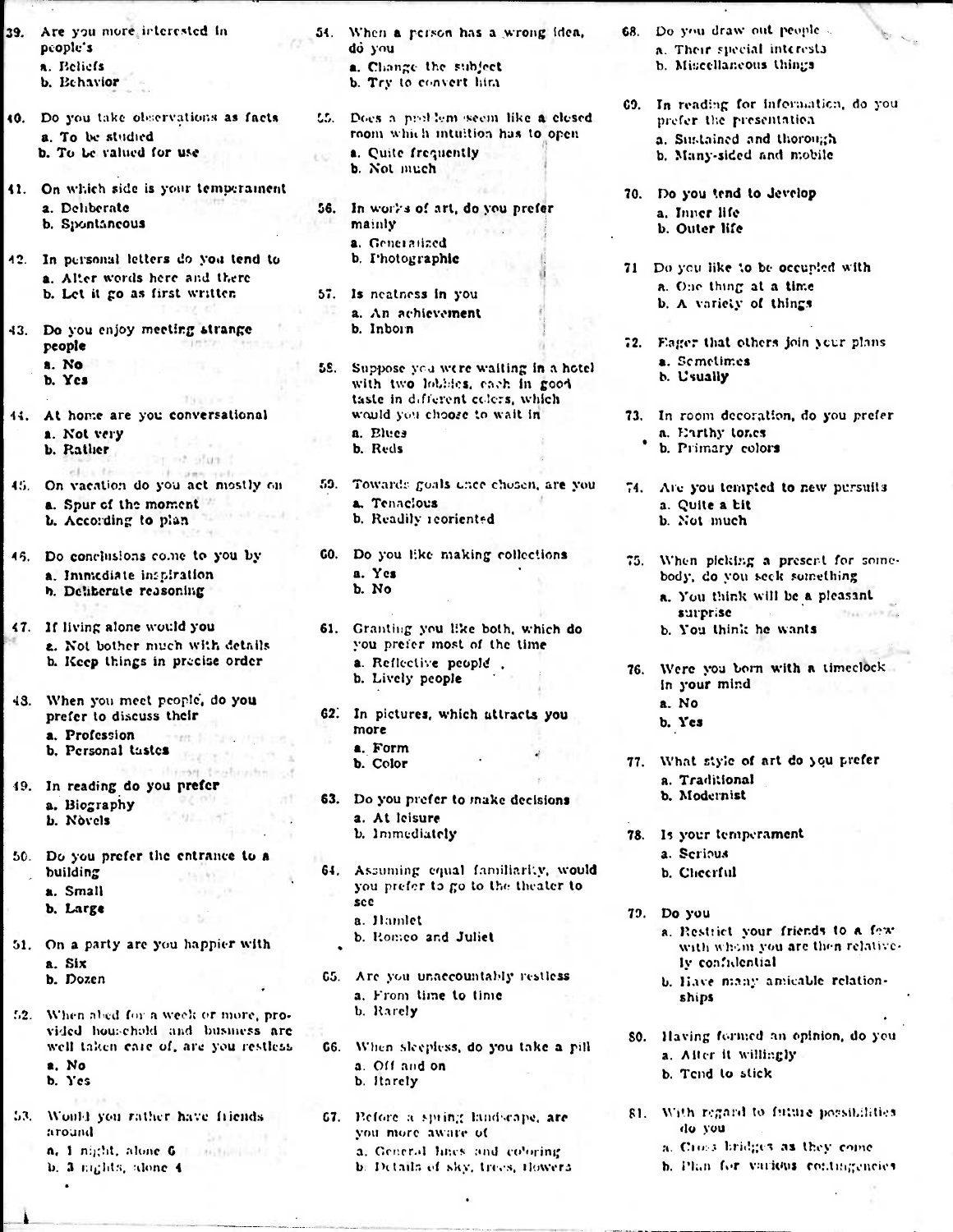- **39. Are you more, irterested In people's a. Beliefs b. Behavior**
- **40. Do you take observations as facts a. To be stodicd b. To Lc valued for use**
- **41.** On which side is your temperament **56.** In works of art, do you prefer **70.** Do you tend to develop **41.** Considering **11. 10.** Depend to Jevelop **b.** Spontaneous
- **42. In personal letters do yoit tend to a. Alter words here and there b. Let it go as first written**
- **43. Do you enjoy meeting strange people a. No b. Yes**
- **44. At home are you conversational a. Not very b. Rather**   $= 7.5$  and  $-1.7 - 0.7$
- **45. On vacation do you act mostly on a. Spur of tho moment b. According to plan**
- **a. Inimcdiate impiration** a. Yes **a.** Yes **a.** Yes **h. Deliberate reasoning**
- **47. If living alone would you 61.** Granting you **like both, which do e.** Not bother much with details **b. Keep things in precise order a.** Reflective people.
- **43. When you meet people; do you a. Profession** *more more* **a. Portable <b>a. Porm b Portable** *a.* **Form b.** Personal tastes **and holder**
- **19. In reading . doyou prefer**
- **50. Do you prefer the entrance to a b. Large see**
- **b. Romeo and Juliet** 51. **On a party arc you happier with a. Six**
- f,2. When ahed **for a** week or more, **pro- b. Rarely**  vided household and business are well taken care of, are you restless **a. No a.** Off and on **b.** Yes **b.** Harely
- **59. Would you rather have fliends 67. Exerce a spring landscape, are**  $\frac{1}{2}$  are  $\frac{1}{2}$ 
	-

 $\bullet$ 

- **54. When a person has a wrong idea, do you a. Changt the subject** 
	- **b. Try to convert hint**
- L5. Does a prollem seem like a closed room which intuition has to open **a. Quite frequently b. Not much** 
	- In works of art, do you prefer a. Inner life mainly b. Outer life **a. Gene) lized b. Photographic**
- **57. Is neatness in you a. An achievement b. Inborn**
- 58. Suppose you were waiting in a hotel with two lobbies, each in good **taste in daferont colors, which**  would you chooze to wait in a. Elties **b. Reds**
- **53.** Toward:: goals unce chosen. **are you a. Tenacious b. Readily icoriented**
- **45. Do conclusions come to you by GO. Do you like making collections** 
	- **b. Lively people**
	- **prefer to discuss their** 62. In pictures, which attracts you more **b. Color** 
		-
	- **a.** Biography **<b>63.** Do you prefer to make decisions **b.** Novels **63.** Do you prefer to make decisions **a.** At leisure **b. Immediately**
	- **64.** Assuming equal familiarly, would **a. Small you** prefer to go to the **theater to a. Hamlet** 
		- **b. Dozen 6.5. Arc** you **unaccountably rostless**
		- **a. From time to time**
		- **wen taken clue of, are you restless 66.** When **skeploss, do you take a pill b.** *Harely*
	- you more aware of **n.** 1 night, alone **6 I**. Inight **II. Interval lines and co'oring h. 3** rights, alone **4 b. Definits of sky, trees, mowers**
- **68. Do you draw out** peopk **a. Their special interesta** 
	- **b.** Miscellaneous things
- **09. In reading for information, do** you prefer the **presentatioa a. Stistained and thorough** 
	- **b. Many-sided and mobile**
- -
- **71** Do you like to be occupied with
	- a. One thing at **a time**
	- **b. A variety of things**
- 72. Yager **that others join )cur plans a. Sometimes**  *h.* **Usually**
- **73. In room decoration, do you prefer a. Earthy tones** 
	- **\* b. Primary colors**
- 74. Are **you tempted to new pursuits a. Quite a bit b. Not much**
- **75. When picking a presort** *for* somebody, do you seek something
	- a. You think will **bc . a pleasant surpr;se**  transke pla **b. You think he wants**
- 76. Were you born with a timeclock **in your mind a. No** 
	- **b. Yes**
- 77. What style of art do you prefer **a. Traditional b. Modornist**
- **78. Is your temporament** 
	- **a. Serious**
	- **b. Cheerful**
- **79. Do you** 
	- a. Restrict your friends to a few with whom you are then relatively confidential
	- b. Have many amicable relationships
- **SO. Having formed an opinion, do you**  *a. <sup>A</sup>***it er it willingly b. Tend to stick** 
	-
- **SI. With vgaril to ftioue** jmorsillitos **do you** 
	- **a. CI tr.-3,1311. <sup>1</sup>413 as they come**
	- **h.** Plan for various contingencies